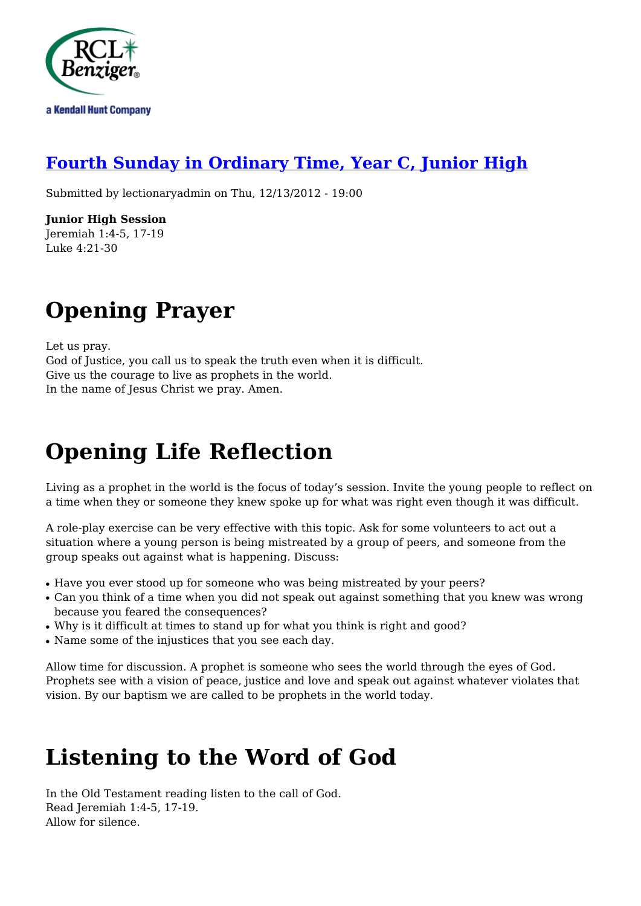

### **[Fourth Sunday in Ordinary Time, Year C, Junior High](http://rclblectionary.com/fourth-sunday-ordinary-time-year-c-junior-high)**

Submitted by lectionaryadmin on Thu, 12/13/2012 - 19:00

**Junior High Session** Jeremiah 1:4-5, 17-19 Luke 4:21-30

## **Opening Prayer**

Let us pray. God of Justice, you call us to speak the truth even when it is difficult. Give us the courage to live as prophets in the world. In the name of Jesus Christ we pray. Amen.

# **Opening Life Reflection**

Living as a prophet in the world is the focus of today's session. Invite the young people to reflect on a time when they or someone they knew spoke up for what was right even though it was difficult.

A role-play exercise can be very effective with this topic. Ask for some volunteers to act out a situation where a young person is being mistreated by a group of peers, and someone from the group speaks out against what is happening. Discuss:

- Have you ever stood up for someone who was being mistreated by your peers?
- Can you think of a time when you did not speak out against something that you knew was wrong because you feared the consequences?
- Why is it difficult at times to stand up for what you think is right and good?
- Name some of the injustices that you see each day.

Allow time for discussion. A prophet is someone who sees the world through the eyes of God. Prophets see with a vision of peace, justice and love and speak out against whatever violates that vision. By our baptism we are called to be prophets in the world today.

## **Listening to the Word of God**

In the Old Testament reading listen to the call of God. Read Jeremiah 1:4-5, 17-19. Allow for silence.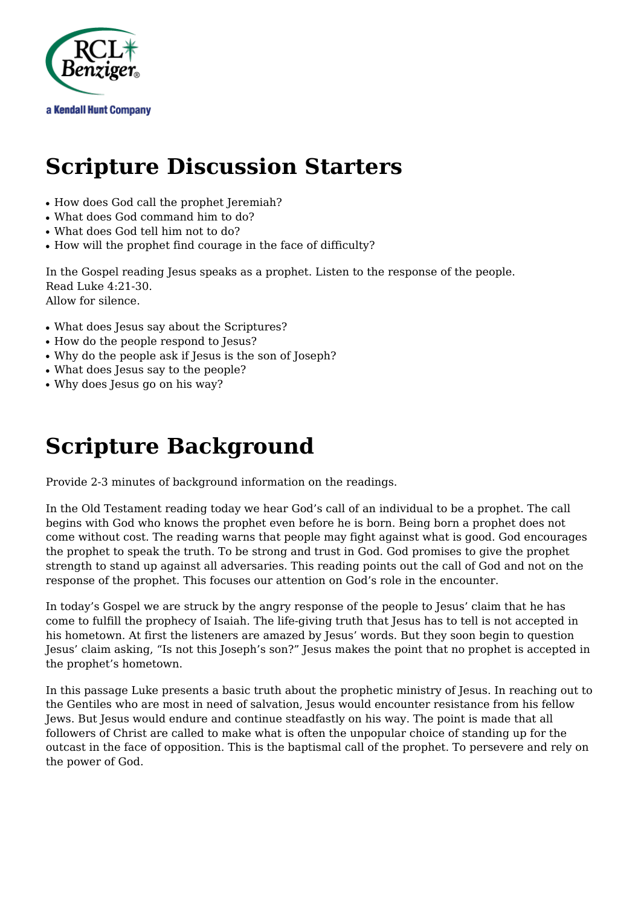

### **Scripture Discussion Starters**

- How does God call the prophet Jeremiah?
- What does God command him to do?
- What does God tell him not to do?
- How will the prophet find courage in the face of difficulty?

In the Gospel reading Jesus speaks as a prophet. Listen to the response of the people. Read Luke 4:21-30. Allow for silence.

- What does Jesus say about the Scriptures?
- How do the people respond to Jesus?
- Why do the people ask if Jesus is the son of Joseph?
- What does Jesus say to the people?
- Why does Jesus go on his way?

### **Scripture Background**

Provide 2-3 minutes of background information on the readings.

In the Old Testament reading today we hear God's call of an individual to be a prophet. The call begins with God who knows the prophet even before he is born. Being born a prophet does not come without cost. The reading warns that people may fight against what is good. God encourages the prophet to speak the truth. To be strong and trust in God. God promises to give the prophet strength to stand up against all adversaries. This reading points out the call of God and not on the response of the prophet. This focuses our attention on God's role in the encounter.

In today's Gospel we are struck by the angry response of the people to Jesus' claim that he has come to fulfill the prophecy of Isaiah. The life-giving truth that Jesus has to tell is not accepted in his hometown. At first the listeners are amazed by Jesus' words. But they soon begin to question Jesus' claim asking, "Is not this Joseph's son?" Jesus makes the point that no prophet is accepted in the prophet's hometown.

In this passage Luke presents a basic truth about the prophetic ministry of Jesus. In reaching out to the Gentiles who are most in need of salvation, Jesus would encounter resistance from his fellow Jews. But Jesus would endure and continue steadfastly on his way. The point is made that all followers of Christ are called to make what is often the unpopular choice of standing up for the outcast in the face of opposition. This is the baptismal call of the prophet. To persevere and rely on the power of God.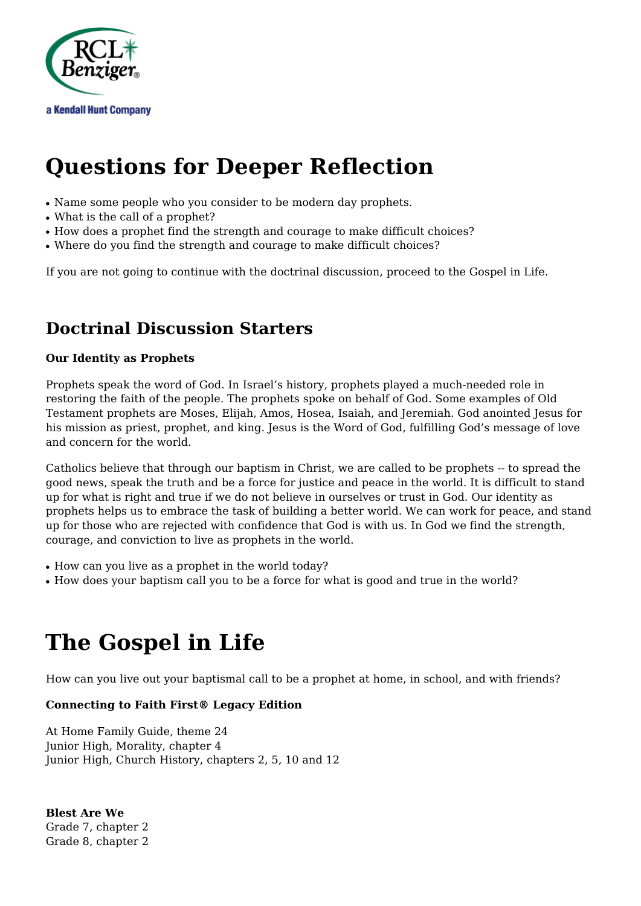

## **Questions for Deeper Reflection**

- Name some people who you consider to be modern day prophets.
- What is the call of a prophet?
- How does a prophet find the strength and courage to make difficult choices?
- Where do you find the strength and courage to make difficult choices?

If you are not going to continue with the doctrinal discussion, proceed to the Gospel in Life.

### **Doctrinal Discussion Starters**

#### **Our Identity as Prophets**

Prophets speak the word of God. In Israel's history, prophets played a much-needed role in restoring the faith of the people. The prophets spoke on behalf of God. Some examples of Old Testament prophets are Moses, Elijah, Amos, Hosea, Isaiah, and Jeremiah. God anointed Jesus for his mission as priest, prophet, and king. Jesus is the Word of God, fulfilling God's message of love and concern for the world.

Catholics believe that through our baptism in Christ, we are called to be prophets -- to spread the good news, speak the truth and be a force for justice and peace in the world. It is difficult to stand up for what is right and true if we do not believe in ourselves or trust in God. Our identity as prophets helps us to embrace the task of building a better world. We can work for peace, and stand up for those who are rejected with confidence that God is with us. In God we find the strength, courage, and conviction to live as prophets in the world.

- How can you live as a prophet in the world today?
- How does your baptism call you to be a force for what is good and true in the world?

## **The Gospel in Life**

How can you live out your baptismal call to be a prophet at home, in school, and with friends?

#### **Connecting to Faith First® Legacy Edition**

At Home Family Guide, theme 24 Junior High, Morality, chapter 4 Junior High, Church History, chapters 2, 5, 10 and 12

**Blest Are We** Grade 7, chapter 2 Grade 8, chapter 2